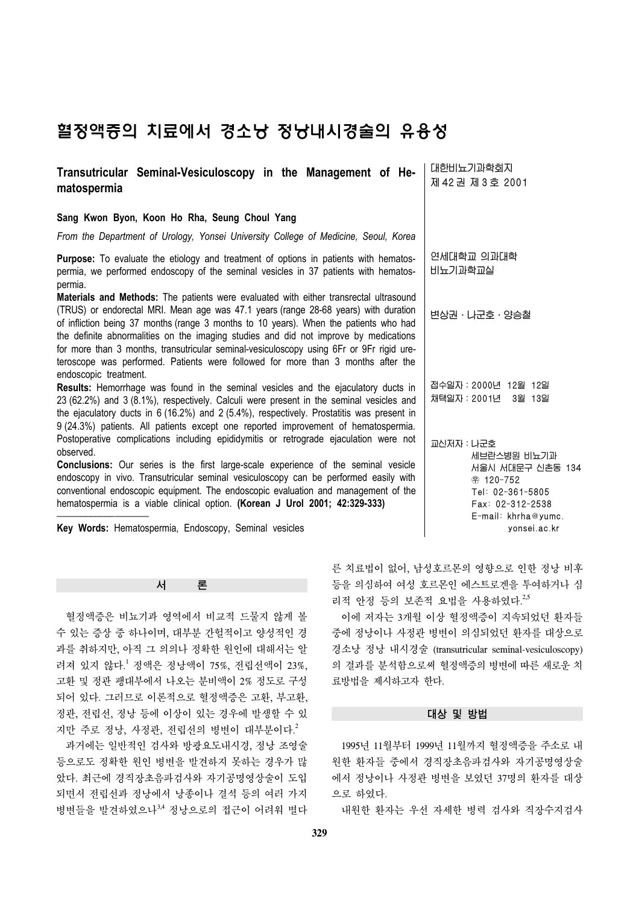# 혈정액증의 치료에서 경소낭 정낭내시경술의 유용성

| Sang Kwon Byon, Koon Ho Rha, Seung Choul Yang<br>From the Department of Urology, Yonsei University College of Medicine, Seoul, Korea                                                                                                                                                                                                                                                                                                                                                                                                          |                                                                                                                                                |
|-----------------------------------------------------------------------------------------------------------------------------------------------------------------------------------------------------------------------------------------------------------------------------------------------------------------------------------------------------------------------------------------------------------------------------------------------------------------------------------------------------------------------------------------------|------------------------------------------------------------------------------------------------------------------------------------------------|
|                                                                                                                                                                                                                                                                                                                                                                                                                                                                                                                                               |                                                                                                                                                |
|                                                                                                                                                                                                                                                                                                                                                                                                                                                                                                                                               |                                                                                                                                                |
| Purpose: To evaluate the etiology and treatment of options in patients with hematos-<br>permia, we performed endoscopy of the seminal vesicles in 37 patients with hematos-<br>permia.                                                                                                                                                                                                                                                                                                                                                        | 연세대학교 의과대학<br>비뇨기과학교실                                                                                                                          |
| Materials and Methods: The patients were evaluated with either transrectal ultrasound<br>(TRUS) or endorectal MRI. Mean age was 47.1 years (range 28-68 years) with duration<br>of infliction being 37 months (range 3 months to 10 years). When the patients who had<br>the definite abnormalities on the imaging studies and did not improve by medications<br>for more than 3 months, transutricular seminal-vesiculoscopy using 6Fr or 9Fr rigid ure-<br>teroscope was performed. Patients were followed for more than 3 months after the | 변상권 · 나군호 · 양승철                                                                                                                                |
| endoscopic treatment.<br>Results: Hemorrhage was found in the seminal vesicles and the ejaculatory ducts in<br>23 (62.2%) and 3 (8.1%), respectively. Calculi were present in the seminal vesicles and<br>the ejaculatory ducts in 6 (16.2%) and 2 (5.4%), respectively. Prostatitis was present in<br>9 (24.3%) patients. All patients except one reported improvement of hematospermia.                                                                                                                                                     | 접수일자: 2000년 12월 12일<br>채택일자 : 2001년 3월 13일                                                                                                     |
| Postoperative complications including epididymitis or retrograde ejaculation were not<br>observed.<br><b>Conclusions:</b> Our series is the first large-scale experience of the seminal vesicle<br>endoscopy in vivo. Transutricular seminal vesiculoscopy can be performed easily with<br>conventional endoscopic equipment. The endoscopic evaluation and management of the<br>hematospermia is a viable clinical option. (Korean J Urol 2001; 42:329-333)<br>Key Words: Hematospermia, Endoscopy, Seminal vesicles                         | 교신저자 : 나군호<br>세브란스병원 비뇨기과<br>서울시 서대문구 신촌동 134<br>⊕ 120-752<br>Tel: 02-361-5805<br>$Fax: 02-312-2538$<br>$E$ -mail: khrha@yumc.<br>vonsei.ac.kr |

서 론

 혈정액증은 비뇨기과 영역에서 비교적 드물지 않게 볼 수 있는 증상 중 하나이며, 대부분 간헐적이고 양성적인 경 과를 취하지만, 아직 그 의의나 정확한 원인에 대해서는 알 려져 있지 않다. <sup>1</sup> 정액은 정낭액이 75%, 전립선액이 23%, 고환 및 정관 팽대부에서 나오는 분비액이 2% 정도로 구성 되어 있다. 그러므로 이론적으로 혈정액증은 고환, 부고환, 정관, 전립선, 정낭 등에 이상이 있는 경우에 발생할 수 있 지만 주로 정낭, 사정관, 전립선의 병변이 대부분이다. 2

 과거에는 일반적인 검사와 방광요도내시경, 정낭 조영술 등으로도 정확한 원인 병변을 발견하지 못하는 경우가 많 았다. 최근에 경직장초음파검사와 자기공명영상술이 도입 되면서 전립선과 정낭에서 낭종이나 결석 등의 여러 가지 병변들을 발견하였으나<sup>3,4</sup> 정낭으로의 접근이 어려워 별다 른 치료법이 없어, 남성호르몬의 영향으로 인한 정낭 비후 등을 의심하여 여성 호르몬인 에스트로겐을 투여하거나 심 리적 안정 등의 보존적 요법을 사용하였다.<sup>2,5</sup>

 이에 저자는 3개월 이상 혈정액증이 지속되었던 환자들 중에 정낭이나 사정관 병변이 의심되었던 환자를 대상으로 경소낭 정낭 내시경술 (transutricular seminal-vesiculoscopy) 의 결과를 분석함으로써 혈정액증의 병변에 따른 새로운 치 료방법을 제시하고자 한다.

### 대상 및 방법

 1995년 11월부터 1999년 11월까지 혈정액증을 주소로 내 원한 환자들 중에서 경직장초음파검사와 자기공명영상술 에서 정낭이나 사정관 병변을 보였던 37명의 환자를 대상 으로 하였다.

내원한 환자는 우선 자세한 병력 검사와 직장수지검사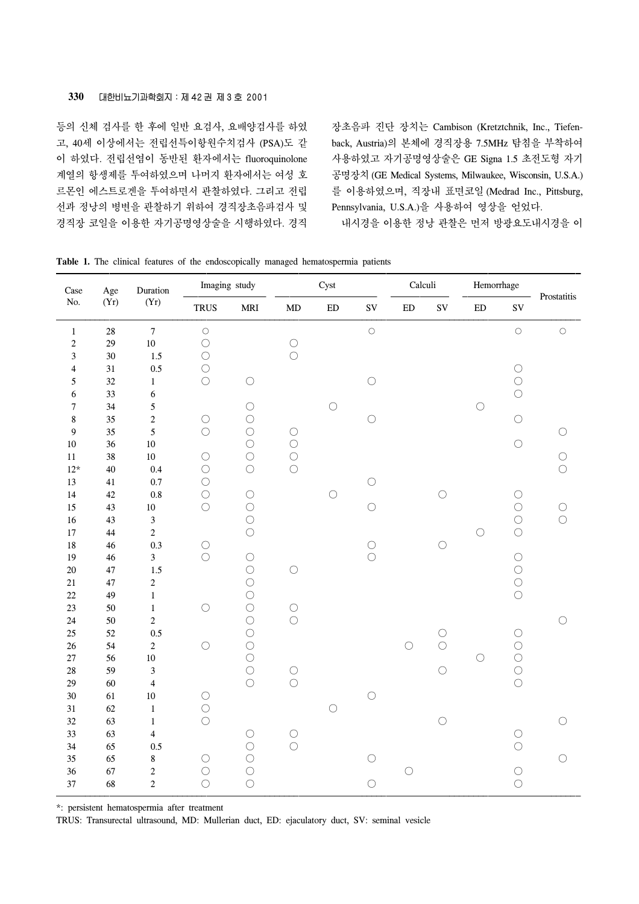등의 신체 검사를 한 후에 일반 요검사, 요배양검사를 하였 고, 40세 이상에서는 전립선특이항원수치검사 (PSA)도 같 이 하였다. 전립선염이 동반된 환자에서는 fluoroquinolone 계열의 항생제를 투여하였으며 나머지 환자에서는 여성 호 르몬인 에스트로겐을 투여하면서 관찰하였다. 그리고 전립 선과 정낭의 병변을 관찰하기 위하여 경직장초음파검사 및 경직장 코일을 이용한 자기공명영상술을 시행하였다. 경직

장초음파 진단 장치는 Cambison (Kretztchnik, Inc., Tiefenback, Austria)의 본체에 경직장용 7.5MHz 탐침을 부착하여 사용하였고 자기공명영상술은 GE Signa 1.5 초전도형 자기 공명장치 (GE Medical Systems, Milwaukee, Wisconsin, U.S.A.) 를 이용하였으며, 직장내 표면코일 (Medrad Inc., Pittsburg, Pennsylvania, U.S.A.)을 사용하여 영상을 얻었다.

내시경을 이용한 정낭 관찰은 먼저 방광요도내시경을 이

| Case<br>Age                     |              | Duration                  | Imaging study            |                                           | Cyst                     |            |            | Calculi    |            | Hemorrhage |                          |                |
|---------------------------------|--------------|---------------------------|--------------------------|-------------------------------------------|--------------------------|------------|------------|------------|------------|------------|--------------------------|----------------|
| No.                             | (Yr)         | (Yr)                      | <b>TRUS</b>              | $\operatorname{\mathbf{MRI}}$             | $\mbox{MD}$              | ${\rm ED}$ | <b>SV</b>  | ${\rm ED}$ | ${\rm SV}$ | ${\rm ED}$ | ${\rm SV}$               | Prostatitis    |
| $\,1\,$                         | $28\,$       | $\boldsymbol{7}$          | $\bigcirc$               |                                           |                          |            | $\bigcirc$ |            |            |            | $\bigcirc$               | $\bigcirc$     |
| $\sqrt{2}$                      | 29           | $10\,$                    | $\bigcirc$               |                                           | $\bigcirc$               |            |            |            |            |            |                          |                |
| $\mathfrak{Z}$                  | 30<br>31     | 1.5                       | $\bigcirc$<br>$\bigcirc$ |                                           | $\bigcirc$               |            |            |            |            |            | $\bigcirc$               |                |
| $\overline{4}$<br>$\mathfrak s$ | 32           | $0.5\,$<br>$1\,$          | $\bigcirc$               | $\bigcirc$                                |                          |            | $\bigcirc$ |            |            |            | $\bigcirc$               |                |
| 6                               | 33           | $\sqrt{6}$                |                          |                                           |                          |            |            |            |            |            | $\bigcirc$               |                |
| $\boldsymbol{7}$                | 34           | $\sqrt{5}$                |                          | $\bigcirc$                                |                          | $\bigcirc$ |            |            |            | $\bigcirc$ |                          |                |
| $\bf 8$                         | 35           | $\sqrt{2}$                | $\bigcirc$               | $\bigcirc$                                |                          |            | $\bigcirc$ |            |            |            | $\bigcirc$               |                |
| $\boldsymbol{9}$                | 35           | $\sqrt{5}$                | $\bigcirc$               | $\bigcirc$                                | $\bigcirc$               |            |            |            |            |            |                          | O              |
| $10\,$                          | 36           | $10\,$                    |                          | $\bigcirc$                                | $\bigcirc$               |            |            |            |            |            | $\bigcirc$               |                |
| $11\,$                          | 38           | $10\,$                    | $\bigcirc$               | $\bigcirc$                                | $\bigcirc$               |            |            |            |            |            |                          | $\bigcirc$     |
| $12^{\star}$                    | 40           | $0.4\,$                   | $\bigcirc$               | $\bigcirc$                                | $\bigcirc$               |            |            |            |            |            |                          | $\bigcirc$     |
| 13<br>$14\,$                    | 41<br>$42\,$ | 0.7<br>$0.8\,$            | $\bigcirc$<br>$\bigcirc$ | $\bigcirc$                                |                          | $\bigcirc$ | $\bigcirc$ |            | $\bigcirc$ |            | $\bigcirc$               |                |
| 15                              | 43           | $10\,$                    | $\bigcirc$               | $\bigcirc$                                |                          |            | $\bigcirc$ |            |            |            | $\bigcirc$               | $\bigcirc$     |
| $16\,$                          | 43           | $\mathfrak 3$             |                          | $\bigcirc$                                |                          |            |            |            |            |            | $\bigcirc$               | $\overline{O}$ |
| $17\,$                          | 44           | $\overline{c}$            |                          | $\bigcirc$                                |                          |            |            |            |            | $\bigcirc$ | $\bigcirc$               |                |
| $18\,$                          | $46\,$       | 0.3                       | $\bigcirc$               |                                           |                          |            | $\bigcirc$ |            | $\bigcirc$ |            |                          |                |
| $19\,$                          | 46           | $\overline{\mathbf{3}}$   | $\bigcirc$               | $\bigcirc$                                |                          |            | $\bigcirc$ |            |            |            | $\bigcirc$               |                |
| $20\,$                          | $47\,$       | 1.5                       |                          | $\bigcirc$                                | $\bigcirc$               |            |            |            |            |            | $\bigcirc$               |                |
| 21                              | $47\,$       | $\sqrt{2}$                |                          | $\bigcirc$                                |                          |            |            |            |            |            | $\bigcirc$               |                |
| $22\,$                          | 49           | $\,1$                     |                          | $\begin{matrix} 0 \\ 0 \\ 0 \end{matrix}$ |                          |            |            |            |            |            | $\bigcirc$               |                |
| 23<br>$24\,$                    | 50           | $\,1$<br>$\boldsymbol{2}$ | $\bigcirc$               |                                           | $\bigcirc$<br>$\bigcirc$ |            |            |            |            |            |                          | ∩              |
| 25                              | $50\,$<br>52 | 0.5                       |                          | $\bigcirc$                                |                          |            |            |            | $\bigcirc$ |            | $\bigcirc$               |                |
| 26                              | 54           | $\sqrt{2}$                | $\bigcirc$               | $\bigcirc$                                |                          |            |            | $\bigcirc$ | $\bigcirc$ |            | $\bigcirc$               |                |
| $27\,$                          | 56           | $10\,$                    |                          | $\bigcirc$                                |                          |            |            |            |            | $\bigcirc$ | $\bigcirc$               |                |
| $28\,$                          | 59           | $\mathfrak{Z}$            |                          | $\bigcirc$                                | $\bigcirc$               |            |            |            | $\bigcirc$ |            | $\bigcirc$               |                |
| 29                              | 60           | $\overline{4}$            |                          | $\bigcirc$                                | $\circlearrowright$      |            |            |            |            |            | $\bigcirc$               |                |
| 30                              | 61           | $10\,$                    | $\bigcirc$               |                                           |                          |            | $\bigcirc$ |            |            |            |                          |                |
| 31                              | 62           | $\mathbf{1}$              | $\bigcirc$               |                                           |                          | $\bigcirc$ |            |            |            |            |                          |                |
| $32\,$                          | 63           | $\,1\,$                   | $\bigcirc$               |                                           |                          |            |            |            | $\bigcirc$ |            |                          |                |
| 33<br>34                        | 63<br>65     | $\overline{\mathbf{4}}$   |                          | $\bigcirc$<br>$\bigcirc$                  | $\bigcirc$<br>$\bigcirc$ |            |            |            |            |            | $\bigcirc$<br>$\bigcirc$ |                |
| 35                              | 65           | $0.5\,$<br>$\bf 8$        | $\bigcirc$               | $\bigcirc$                                |                          |            | $\bigcirc$ |            |            |            |                          | O              |
| 36                              | 67           | $\sqrt{2}$                | $\bigcirc$               | $\bigcirc$                                |                          |            |            | $\bigcirc$ |            |            | $\bigcirc$               |                |
| 37                              | 68           | $\overline{c}$            | $\bigcirc$               | $\bigcirc$                                |                          |            | $\bigcirc$ |            |            |            | $\bigcirc$               |                |
|                                 |              |                           |                          |                                           |                          |            |            |            |            |            |                          |                |

**Table 1.** The clinical features of the endoscopically managed hematospermia patients

\*: persistent hematospermia after treatment

TRUS: Transurectal ultrasound, MD: Mullerian duct, ED: ejaculatory duct, SV: seminal vesicle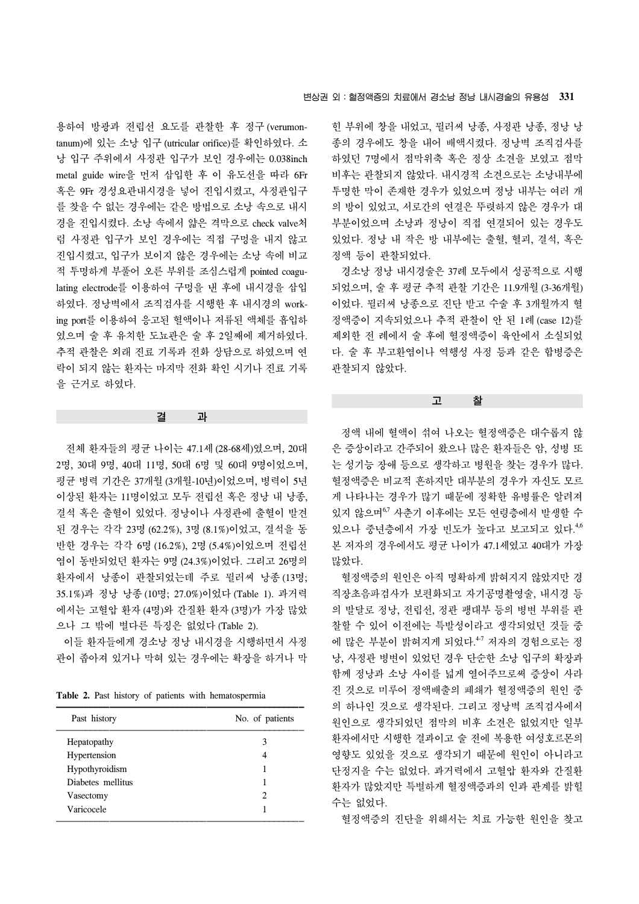용하여 방광과 전립선 요도를 관찰한 후 정구 (verumontanum)에 있는 소낭 입구 (utricular orifice)를 확인하였다. 소 낭 입구 주위에서 사정관 입구가 보인 경우에는 0.038inch metal guide wire을 먼저 삽입한 후 이 유도선을 따라 6Fr 혹은 9Fr 경성요관내시경을 넣어 진입시켰고, 사정관입구 를 찾을 수 없는 경우에는 같은 방법으로 소낭 속으로 내시 경을 진입시켰다. 소낭 속에서 얇은 격막으로 check valve처 럼 사정관 입구가 보인 경우에는 직접 구멍을 내지 않고 진입시켰고, 입구가 보이지 않은 경우에는 소낭 속에 비교 적 투명하게 부풀어 오른 부위를 조심스럽게 pointed coagulating electrode를 이용하여 구멍을 낸 후에 내시경을 삽입 하였다. 정낭벽에서 조직검사를 시행한 후 내시경의 working port를 이용하여 응고된 혈액이나 저류된 액체를 흡입하 였으며 술 후 유치한 도뇨관은 술 후 2일째에 제거하였다. 추적 관찰은 외래 진료 기록과 전화 상담으로 하였으며 연 락이 되지 않는 환자는 마지막 전화 확인 시기나 진료 기록 을 근거로 하였다.

# 결 과

 전체 환자들의 평균 나이는 47.1세 (28-68세)였으며, 20대 2명, 30대 9명, 40대 11명, 50대 6명 및 60대 9명이었으며, 평균 병력 기간은 37개월 (3개월-10년)이었으며, 병력이 5년 이상된 환자는 11명이었고 모두 전립선 혹은 정낭 내 낭종, 결석 혹은 출혈이 있었다. 정낭이나 사정관에 출혈이 발견 된 경우는 각각 23명 (62.2%), 3명 (8.1%)이었고, 결석을 동 반한 경우는 각각 6명 (16.2%), 2명 (5.4%)이었으며 전립선 염이 동반되었던 환자는 9명 (24.3%)이었다. 그리고 26명의 환자에서 낭종이 관찰되었는데 주로 뮐러씨 낭종 (13명; 35.1%)과 정낭 낭종 (10명; 27.0%)이었다 (Table 1). 과거력 에서는 고혈압 환자 (4명)와 간질환 환자 (3명)가 가장 많았 으나 그 밖에 별다른 특징은 없었다 (Table 2).

 이들 환자들에게 경소낭 정낭 내시경을 시행하면서 사정 관이 좁아져 있거나 막혀 있는 경우에는 확장을 하거나 막

**Table 2.** Past history of patients with hematospermia

| Past history      | No. of patients |
|-------------------|-----------------|
| Hepatopathy       | 3               |
| Hypertension      | 4               |
| Hypothyroidism    |                 |
| Diabetes mellitus |                 |
| Vasectomy         | 2               |
| Varicocele        |                 |

힌 부위에 창을 내었고, 뮐러씨 낭종, 사정관 낭종, 정낭 낭 종의 경우에도 창을 내어 배액시켰다. 정낭벽 조직검사를 하였던 7명에서 점막위축 혹은 정상 소견을 보였고 점막 비후는 관찰되지 않았다. 내시경적 소견으로는 소낭내부에 투명한 막이 존재한 경우가 있었으며 정낭 내부는 여러 개 의 방이 있었고, 서로간의 연결은 뚜렷하지 않은 경우가 대 부분이었으며 소낭과 정낭이 직접 연결되어 있는 경우도 있었다. 정낭 내 작은 방 내부에는 출혈, 혈괴, 결석, 혹은 정액 등이 관찰되었다.

 경소낭 정낭 내시경술은 37례 모두에서 성공적으로 시행 되었으며, 술 후 평균 추적 관찰 기간은 11.9개월 (3-36개월) 이었다. 뮐러씨 낭종으로 진단 받고 수술 후 3개월까지 혈 정액증이 지속되었으나 추적 관찰이 안 된 1례 (case 12)를 제외한 전 례에서 술 후에 혈정액증이 육안에서 소실되었 다. 술 후 부고환염이나 역행성 사정 등과 같은 합병증은 관찰되지 않았다.

#### 고 찰

 정액 내에 혈액이 섞여 나오는 혈정액증은 대수롭지 않 은 증상이라고 간주되어 왔으나 많은 환자들은 암, 성병 또 는 성기능 장애 등으로 생각하고 병원을 찾는 경우가 많다. 혈정액증은 비교적 흔하지만 대부분의 경우가 자신도 모르 게 나타나는 경우가 많기 때문에 정확한 유병률은 알려져 있지 않으며<sup>67</sup> 사춘기 이후에는 모든 연령층에서 발생할 수 있으나 중년층에서 가장 빈도가 높다고 보고되고 있다. 4,6 본 저자의 경우에서도 평균 나이가 47.1세였고 40대가 가장 많았다.

 혈정액증의 원인은 아직 명확하게 밝혀지지 않았지만 경 직장초음파검사가 보편화되고 자기공명촬영술, 내시경 등 의 발달로 정낭, 전립선, 정관 팽대부 등의 병변 부위를 관 찰할 수 있어 이전에는 특발성이라고 생각되었던 것들 중 에 많은 부분이 밝혀지게 되었다. 4-7 저자의 경험으로는 정 낭, 사정관 병변이 있었던 경우 단순한 소낭 입구의 확장과 함께 정낭과 소낭 사이를 넓게 열어주므로써 증상이 사라 진 것으로 미루어 정액배출의 폐쇄가 혈정액증의 원인 중 의 하나인 것으로 생각된다. 그리고 정낭벽 조직검사에서 원인으로 생각되었던 점막의 비후 소견은 없었지만 일부 환자에서만 시행한 결과이고 술 전에 복용한 여성호르몬의 영향도 있었을 것으로 생각되기 때문에 원인이 아니라고 단정지을 수는 없었다. 과거력에서 고혈압 환자와 간질환 환자가 많았지만 특별하게 혈정액증과의 인과 관계를 밝힐 수는 없었다.

혈정액증의 진단을 위해서는 치료 가능한 원인을 찾고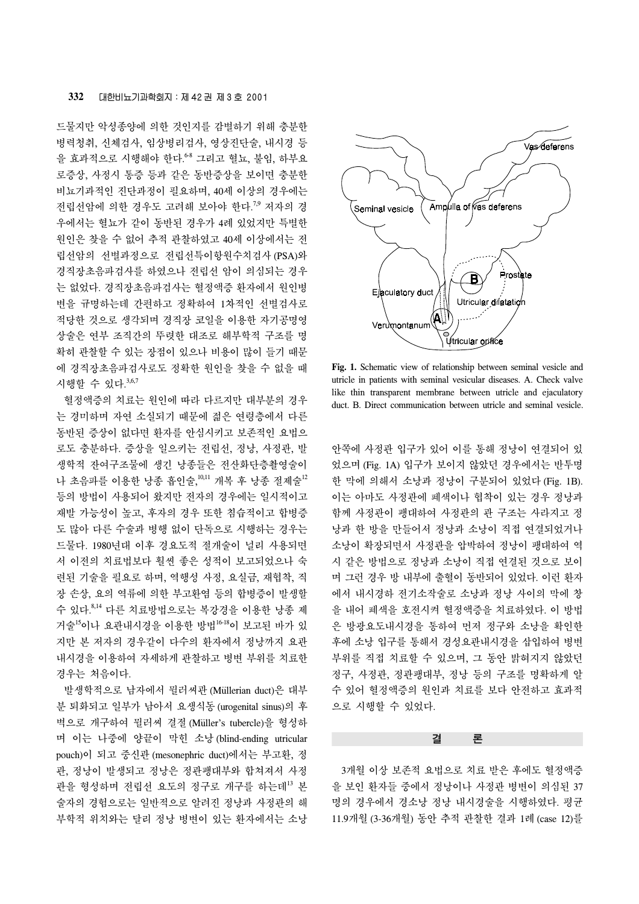## **332** 대한비뇨기과학회지:제 42 권 제 3 호 2001

드물지만 악성종양에 의한 것인지를 감별하기 위해 충분한 병력청취, 신체검사, 임상병리검사, 영상진단술, 내시경 등 을 효과적으로 시행해야 한다. 6-8 그리고 혈뇨, 불임, 하부요 로증상, 사정시 통증 등과 같은 동반증상을 보이면 충분한 비뇨기과적인 진단과정이 필요하며, 40세 이상의 경우에는 전립선암에 의한 경우도 고려해 보아야 한다.<sup>7,9</sup> 저자의 경 우에서는 혈뇨가 같이 동반된 경우가 4례 있었지만 특별한 원인은 찾을 수 없어 추적 관찰하였고 40세 이상에서는 전 립선암의 선별과정으로 전립선특이항원수치검사 (PSA)와 경직장초음파검사를 하였으나 전립선 암이 의심되는 경우 는 없었다. 경직장초음파검사는 혈정액증 환자에서 원인병 변을 규명하는데 간편하고 정확하여 1차적인 선별검사로 적당한 것으로 생각되며 경직장 코일을 이용한 자기공명영 상술은 연부 조직간의 뚜렷한 대조로 해부학적 구조를 명 확히 관찰할 수 있는 장점이 있으나 비용이 많이 들기 때문 에 경직장초음파검사로도 정확한 원인을 찾을 수 없을 때 시행할 수 있다.<sup>3,6,7</sup>

 혈정액증의 치료는 원인에 따라 다르지만 대부분의 경우 는 경미하며 자연 소실되기 때문에 젊은 연령층에서 다른 동반된 증상이 없다면 환자를 안심시키고 보존적인 요법으 로도 충분하다. 증상을 일으키는 전립선, 정낭, 사정관, 발 생학적 잔여구조물에 생긴 낭종들은 전산화단층촬영술이 나 초음파를 이용한 낭종 흡인술,<sup>10,11</sup> 개복 후 낭종 절제술<sup>12</sup> 등의 방법이 사용되어 왔지만 전자의 경우에는 일시적이고 재발 가능성이 높고, 후자의 경우 또한 침습적이고 합병증 도 많아 다른 수술과 병행 없이 단독으로 시행하는 경우는 드물다. 1980년대 이후 경요도적 절개술이 널리 사용되면 서 이전의 치료법보다 훨씬 좋은 성적이 보고되었으나 숙 련된 기술을 필요로 하며, 역행성 사정, 요실금, 재협착, 직 장 손상, 요의 역류에 의한 부고환염 등의 합병증이 발생할 수 있다. 8,14 다른 치료방법으로는 복강경을 이용한 낭종 제 거술<sup>15</sup>이나 요관내시경을 이용한 방법16-18이 보고된 바가 있 지만 본 저자의 경우같이 다수의 환자에서 정낭까지 요관 내시경을 이용하여 자세하게 관찰하고 병변 부위를 치료한 경우는 처음이다.

발생학적으로 남자에서 뮐러씨관 (Müllerian duct)은 대부 분 퇴화되고 일부가 남아서 요생식동 (urogenital sinus)의 후 벽으로 개구하여 뮐러씨 결절(Müller's tubercle)을 형성하 며 이는 나중에 양끝이 막힌 소낭 (blind-ending utricular pouch)이 되고 중신관 (mesonephric duct)에서는 부고환, 정 관, 정낭이 발생되고 정낭은 정관팽대부와 합쳐져서 사정 관을 형성하며 전립선 요도의 정구로 개구를 하는데<sup>13</sup> 본 술자의 경험으로는 일반적으로 알려진 정낭과 사정관의 해 부학적 위치와는 달리 정낭 병변이 있는 환자에서는 소낭



**Fig. 1.** Schematic view of relationship between seminal vesicle and utricle in patients with seminal vesicular diseases. A. Check valve like thin transparent membrane between utricle and ejaculatory duct. B. Direct communication between utricle and seminal vesicle.

안쪽에 사정관 입구가 있어 이를 통해 정낭이 연결되어 있 었으며 (Fig. 1A) 입구가 보이지 않았던 경우에서는 반투명 한 막에 의해서 소낭과 정낭이 구분되어 있었다 (Fig. 1B). 이는 아마도 사정관에 폐색이나 협착이 있는 경우 정낭과 함께 사정관이 팽대하여 사정관의 관 구조는 사라지고 정 낭과 한 방을 만들어서 정낭과 소낭이 직접 연결되었거나 소낭이 확장되면서 사정관을 압박하여 정낭이 팽대하여 역 시 같은 방법으로 정낭과 소낭이 직접 연결된 것으로 보이 며 그런 경우 방 내부에 출혈이 동반되어 있었다. 이런 환자 에서 내시경하 전기소작술로 소낭과 정낭 사이의 막에 창 을 내어 폐색을 호전시켜 혈정액증을 치료하였다. 이 방법 은 방광요도내시경을 통하여 먼저 정구와 소낭을 확인한 후에 소낭 입구를 통해서 경성요관내시경을 삽입하여 병변 부위를 직접 치료할 수 있으며, 그 동안 밝혀지지 않았던 정구, 사정관, 정관팽대부, 정낭 등의 구조를 명확하게 알 수 있어 혈정액증의 원인과 치료를 보다 안전하고 효과적 으로 시행할 수 있었다.

## 결 론

 3개월 이상 보존적 요법으로 치료 받은 후에도 혈정액증 을 보인 환자들 중에서 정낭이나 사정관 병변이 의심된 37 명의 경우에서 경소낭 정낭 내시경술을 시행하였다. 평균 11.9개월 (3-36개월) 동안 추적 관찰한 결과 1례 (case 12)를